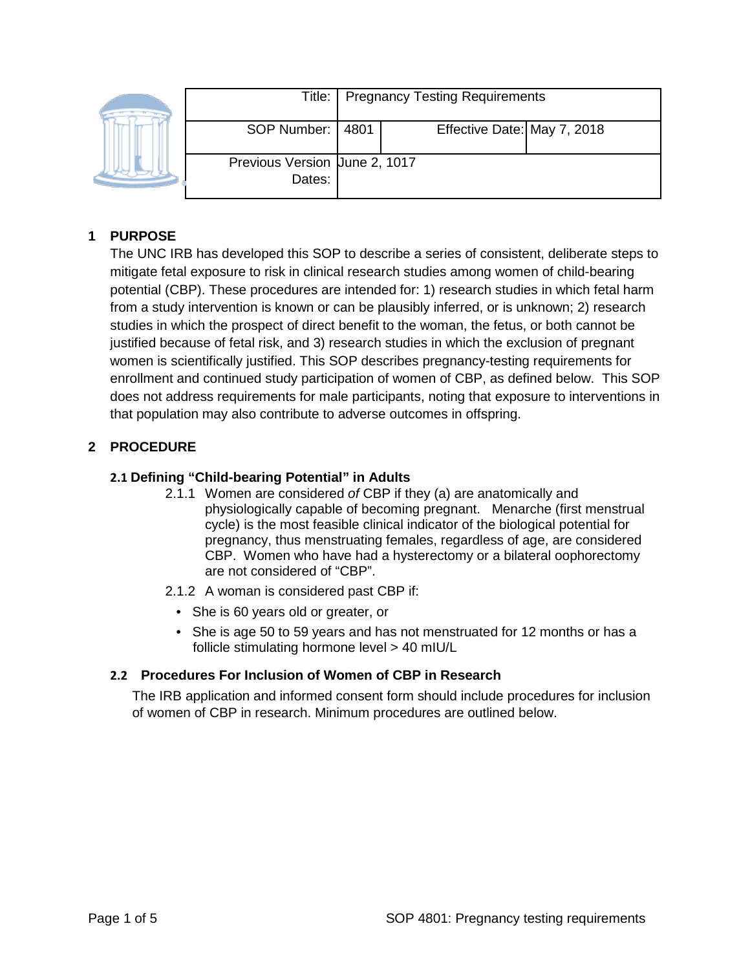| Title:                                  | <b>Pregnancy Testing Requirements</b> |                             |  |
|-----------------------------------------|---------------------------------------|-----------------------------|--|
| SOP Number:                             | 4801                                  | Effective Date: May 7, 2018 |  |
| Previous Version Uune 2, 1017<br>Dates: |                                       |                             |  |

# **1 PURPOSE**

The UNC IRB has developed this SOP to describe a series of consistent, deliberate steps to mitigate fetal exposure to risk in clinical research studies among women of child-bearing potential (CBP). These procedures are intended for: 1) research studies in which fetal harm from a study intervention is known or can be plausibly inferred, or is unknown; 2) research studies in which the prospect of direct benefit to the woman, the fetus, or both cannot be justified because of fetal risk, and 3) research studies in which the exclusion of pregnant women is scientifically justified. This SOP describes pregnancy-testing requirements for enrollment and continued study participation of women of CBP, as defined below. This SOP does not address requirements for male participants, noting that exposure to interventions in that population may also contribute to adverse outcomes in offspring.

# **2 PROCEDURE**

### **2.1 Defining "Child-bearing Potential" in Adults**

- 2.1.1 Women are considered *of* CBP if they (a) are anatomically and physiologically capable of becoming pregnant. Menarche (first menstrual cycle) is the most feasible clinical indicator of the biological potential for pregnancy, thus menstruating females, regardless of age, are considered CBP. Women who have had a hysterectomy or a bilateral oophorectomy are not considered of "CBP".
- 2.1.2 A woman is considered past CBP if:
	- She is 60 years old or greater, or
	- She is age 50 to 59 years and has not menstruated for 12 months or has a follicle stimulating hormone level > 40 mIU/L

## **2.2 Procedures For Inclusion of Women of CBP in Research**

The IRB application and informed consent form should include procedures for inclusion of women of CBP in research. Minimum procedures are outlined below.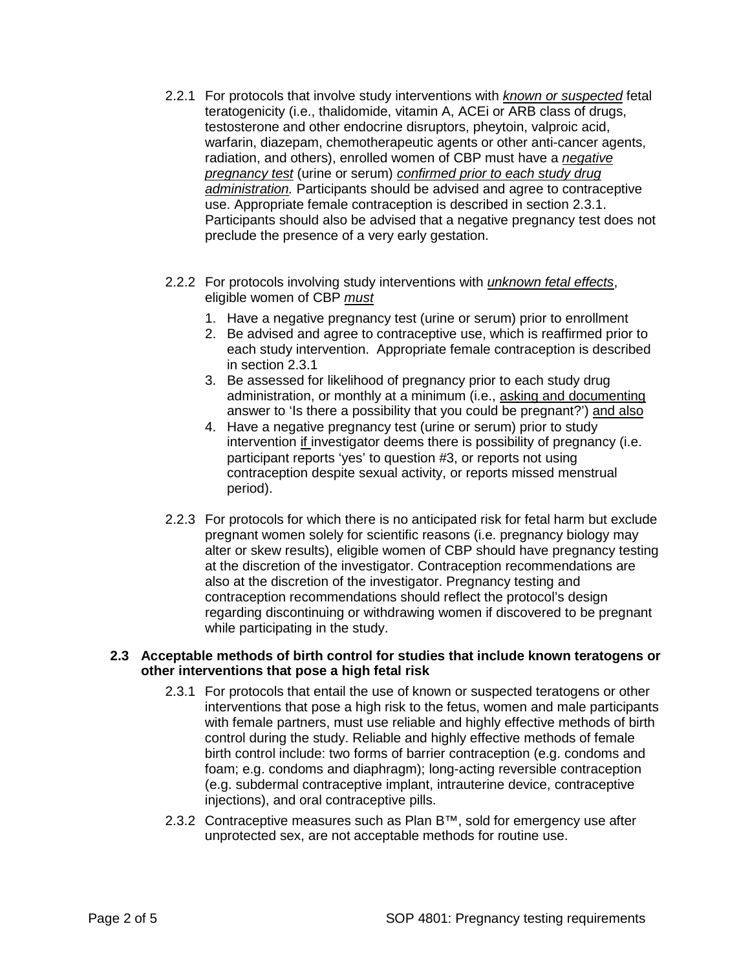- 2.2.1 For protocols that involve study interventions with *known or suspected* fetal teratogenicity (i.e., thalidomide, vitamin A, ACEi or ARB class of drugs, testosterone and other endocrine disruptors, pheytoin, valproic acid, warfarin, diazepam, chemotherapeutic agents or other anti-cancer agents, radiation, and others), enrolled women of CBP must have a *negative pregnancy test* (urine or serum) *confirmed prior to each study drug administration.* Participants should be advised and agree to contraceptive use. Appropriate female contraception is described in section 2.3.1. Participants should also be advised that a negative pregnancy test does not preclude the presence of a very early gestation.
- 2.2.2 For protocols involving study interventions with *unknown fetal effects*, eligible women of CBP *must*
	- 1. Have a negative pregnancy test (urine or serum) prior to enrollment
	- 2. Be advised and agree to contraceptive use, which is reaffirmed prior to each study intervention. Appropriate female contraception is described in section 2.3.1
	- 3. Be assessed for likelihood of pregnancy prior to each study drug administration, or monthly at a minimum (i.e., asking and documenting answer to 'Is there a possibility that you could be pregnant?') and also
	- 4. Have a negative pregnancy test (urine or serum) prior to study intervention if investigator deems there is possibility of pregnancy (i.e. participant reports 'yes' to question #3, or reports not using contraception despite sexual activity, or reports missed menstrual period).
- 2.2.3 For protocols for which there is no anticipated risk for fetal harm but exclude pregnant women solely for scientific reasons (i.e. pregnancy biology may alter or skew results), eligible women of CBP should have pregnancy testing at the discretion of the investigator. Contraception recommendations are also at the discretion of the investigator. Pregnancy testing and contraception recommendations should reflect the protocol's design regarding discontinuing or withdrawing women if discovered to be pregnant while participating in the study.

#### **2.3 Acceptable methods of birth control for studies that include known teratogens or other interventions that pose a high fetal risk**

- 2.3.1 For protocols that entail the use of known or suspected teratogens or other interventions that pose a high risk to the fetus, women and male participants with female partners, must use reliable and highly effective methods of birth control during the study. Reliable and highly effective methods of female birth control include: two forms of barrier contraception (e.g. condoms and foam; e.g. condoms and diaphragm); long-acting reversible contraception (e.g. subdermal contraceptive implant, intrauterine device, contraceptive injections), and oral contraceptive pills.
- 2.3.2 Contraceptive measures such as Plan B<sup>™</sup>, sold for emergency use after unprotected sex, are not acceptable methods for routine use.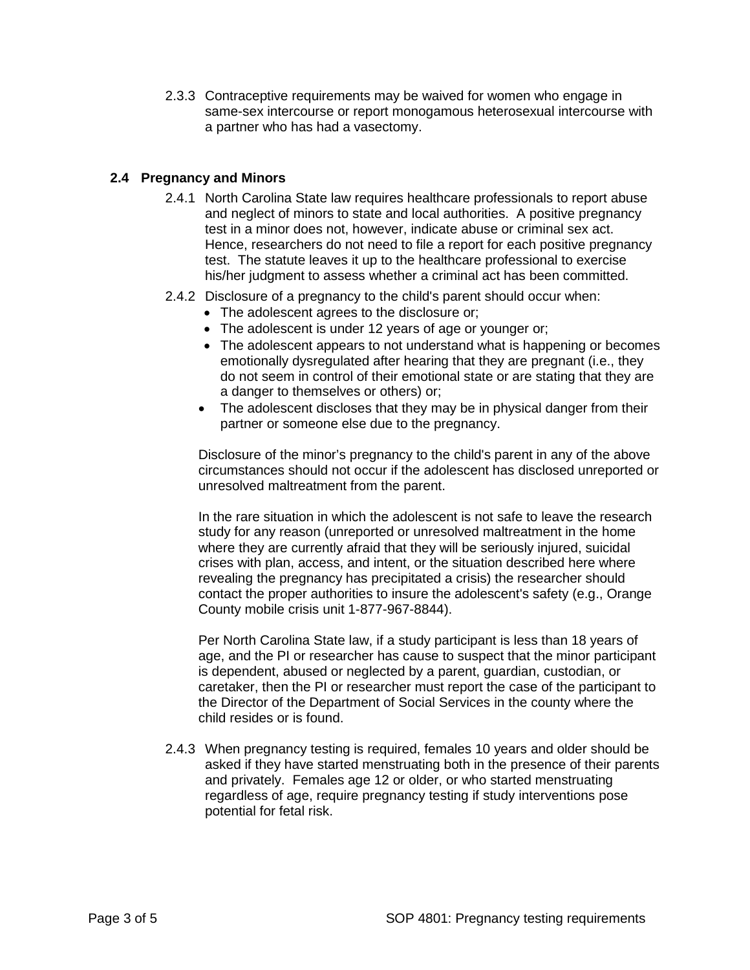2.3.3 Contraceptive requirements may be waived for women who engage in same-sex intercourse or report monogamous heterosexual intercourse with a partner who has had a vasectomy.

### **2.4 Pregnancy and Minors**

- 2.4.1 North Carolina State law requires healthcare professionals to report abuse and neglect of minors to state and local authorities. A positive pregnancy test in a minor does not, however, indicate abuse or criminal sex act. Hence, researchers do not need to file a report for each positive pregnancy test. The statute leaves it up to the healthcare professional to exercise his/her judgment to assess whether a criminal act has been committed.
- 2.4.2 Disclosure of a pregnancy to the child's parent should occur when:
	- The adolescent agrees to the disclosure or;
	- The adolescent is under 12 years of age or younger or;
	- The adolescent appears to not understand what is happening or becomes emotionally dysregulated after hearing that they are pregnant (i.e., they do not seem in control of their emotional state or are stating that they are a danger to themselves or others) or;
	- The adolescent discloses that they may be in physical danger from their partner or someone else due to the pregnancy.

Disclosure of the minor's pregnancy to the child's parent in any of the above circumstances should not occur if the adolescent has disclosed unreported or unresolved maltreatment from the parent.

In the rare situation in which the adolescent is not safe to leave the research study for any reason (unreported or unresolved maltreatment in the home where they are currently afraid that they will be seriously injured, suicidal crises with plan, access, and intent, or the situation described here where revealing the pregnancy has precipitated a crisis) the researcher should contact the proper authorities to insure the adolescent's safety (e.g., Orange County mobile crisis unit 1-877-967-8844).

Per North Carolina State law, if a study participant is less than 18 years of age, and the PI or researcher has cause to suspect that the minor participant is dependent, abused or neglected by a parent, guardian, custodian, or caretaker, then the PI or researcher must report the case of the participant to the Director of the Department of Social Services in the county where the child resides or is found.

2.4.3 When pregnancy testing is required, females 10 years and older should be asked if they have started menstruating both in the presence of their parents and privately. Females age 12 or older, or who started menstruating regardless of age, require pregnancy testing if study interventions pose potential for fetal risk.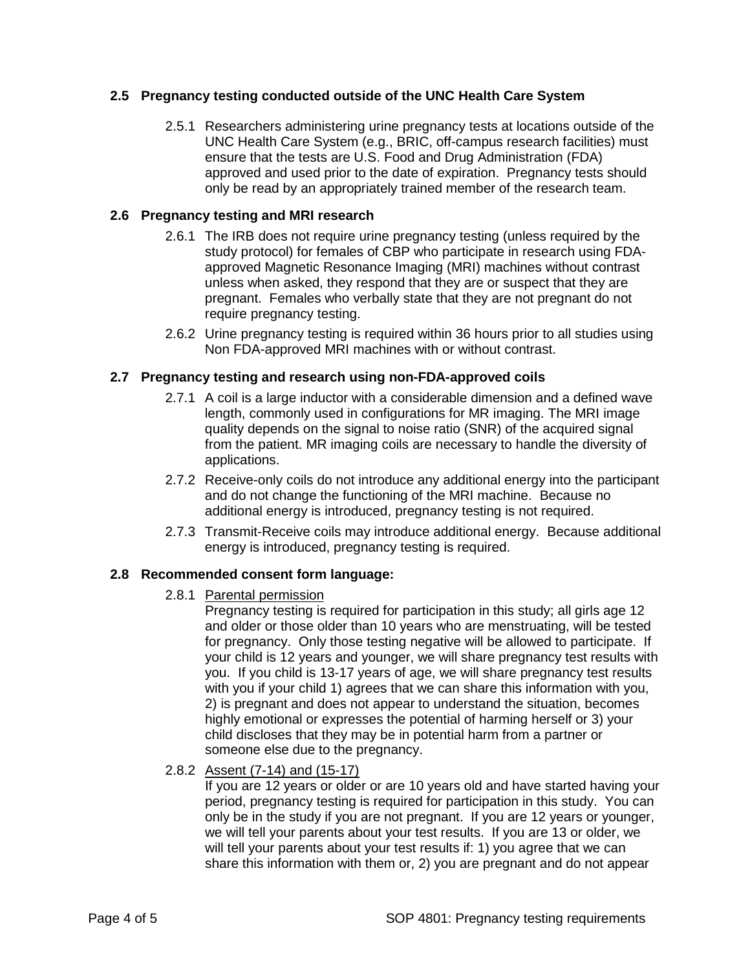### **2.5 Pregnancy testing conducted outside of the UNC Health Care System**

2.5.1 Researchers administering urine pregnancy tests at locations outside of the UNC Health Care System (e.g., BRIC, off-campus research facilities) must ensure that the tests are U.S. Food and Drug Administration (FDA) approved and used prior to the date of expiration. Pregnancy tests should only be read by an appropriately trained member of the research team.

### **2.6 Pregnancy testing and MRI research**

- 2.6.1 The IRB does not require urine pregnancy testing (unless required by the study protocol) for females of CBP who participate in research using FDAapproved Magnetic Resonance Imaging (MRI) machines without contrast unless when asked, they respond that they are or suspect that they are pregnant. Females who verbally state that they are not pregnant do not require pregnancy testing.
- 2.6.2 Urine pregnancy testing is required within 36 hours prior to all studies using Non FDA-approved MRI machines with or without contrast.

#### **2.7 Pregnancy testing and research using non-FDA-approved coils**

- 2.7.1 A coil is a large inductor with a considerable dimension and a defined wave length, commonly used in configurations for MR imaging. The MRI image quality depends on the signal to noise ratio (SNR) of the acquired signal from the patient. MR imaging coils are necessary to handle the diversity of applications.
- 2.7.2 Receive-only coils do not introduce any additional energy into the participant and do not change the functioning of the MRI machine. Because no additional energy is introduced, pregnancy testing is not required.
- 2.7.3 Transmit-Receive coils may introduce additional energy. Because additional energy is introduced, pregnancy testing is required.

### **2.8 Recommended consent form language:**

2.8.1 Parental permission

Pregnancy testing is required for participation in this study; all girls age 12 and older or those older than 10 years who are menstruating, will be tested for pregnancy. Only those testing negative will be allowed to participate. If your child is 12 years and younger, we will share pregnancy test results with you. If you child is 13-17 years of age, we will share pregnancy test results with you if your child 1) agrees that we can share this information with you, 2) is pregnant and does not appear to understand the situation, becomes highly emotional or expresses the potential of harming herself or 3) your child discloses that they may be in potential harm from a partner or someone else due to the pregnancy.

2.8.2 Assent (7-14) and (15-17)

If you are 12 years or older or are 10 years old and have started having your period, pregnancy testing is required for participation in this study. You can only be in the study if you are not pregnant. If you are 12 years or younger, we will tell your parents about your test results. If you are 13 or older, we will tell your parents about your test results if: 1) you agree that we can share this information with them or, 2) you are pregnant and do not appear